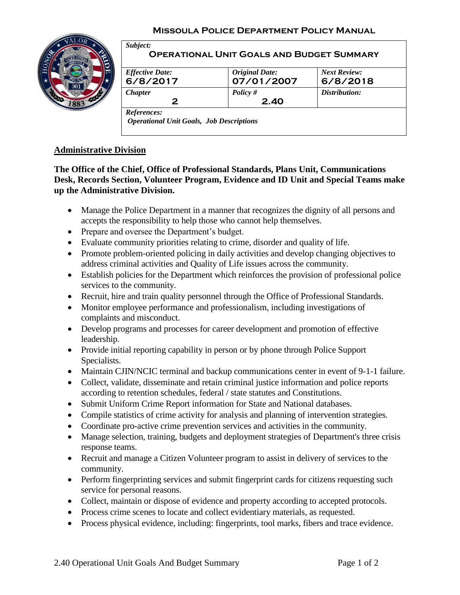#### **Missoula Police Department Policy Manual**



| <b>Effective Date:</b> | <b>Original Date:</b> | <b>Next Review:</b> |
|------------------------|-----------------------|---------------------|
| 6/8/2017               | 07/01/2007            | 6/8/2018            |
| <b>Chapter</b>         | Policy $#$            | Distribution:       |
| 2                      | 2.40                  |                     |

## **Administrative Division**

**The Office of the Chief, Office of Professional Standards, Plans Unit, Communications Desk, Records Section, Volunteer Program, Evidence and ID Unit and Special Teams make up the Administrative Division.**

- Manage the Police Department in a manner that recognizes the dignity of all persons and accepts the responsibility to help those who cannot help themselves.
- Prepare and oversee the Department's budget.
- Evaluate community priorities relating to crime, disorder and quality of life.
- Promote problem-oriented policing in daily activities and develop changing objectives to address criminal activities and Quality of Life issues across the community.
- Establish policies for the Department which reinforces the provision of professional police services to the community.
- Recruit, hire and train quality personnel through the Office of Professional Standards.
- Monitor employee performance and professionalism, including investigations of complaints and misconduct.
- Develop programs and processes for career development and promotion of effective leadership.
- Provide initial reporting capability in person or by phone through Police Support Specialists.
- Maintain CJIN/NCIC terminal and backup communications center in event of 9-1-1 failure.
- Collect, validate, disseminate and retain criminal justice information and police reports according to retention schedules, federal / state statutes and Constitutions.
- Submit Uniform Crime Report information for State and National databases.
- Compile statistics of crime activity for analysis and planning of intervention strategies.
- Coordinate pro-active crime prevention services and activities in the community.
- Manage selection, training, budgets and deployment strategies of Department's three crisis response teams.
- Recruit and manage a Citizen Volunteer program to assist in delivery of services to the community.
- Perform fingerprinting services and submit fingerprint cards for citizens requesting such service for personal reasons.
- Collect, maintain or dispose of evidence and property according to accepted protocols.
- Process crime scenes to locate and collect evidentiary materials, as requested.
- Process physical evidence, including: fingerprints, tool marks, fibers and trace evidence.